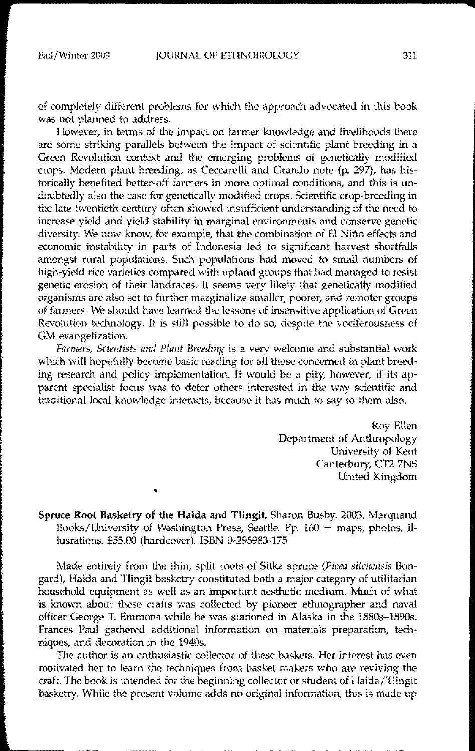of completely different problems for which the approach advocated in this book was not planned to address.

However, in terms of the impact on farmer knowledge and livelihoods there are some striking parallels between the impact of scientific plant breeding in a Green Revolution context and the emerging problems of genetically modified crops. Modern plant breeding, as Ceccarelli and Grando note (p. 297), has historically benefited better-off farmers in more optimal conditions, and this is undoubtedly also the case for genetically modified crops. Scientific crop-breeding in the late twentieth century often showed insufficient understanding of the need to increase yield and yield stability in marginal environments and conserve genetic diversity. We now know, for example, that the combination of EI Nino effects and economic instability in parts of Indonesia led to significant harvest shortfalls amongst rural populations. Such populations had moved to small numbers of high-yield rice varieties compared with upland groups that had managed to resist genetic erosion of their landraces. It seems very likely that genetically modified organisms are also set to further marginalize smaller, poorer, and remoter groups of farmers. We should have learned the lessons of insensitive application of Green Revolution technology. It is still possible to do so, despite the vociferousness of GM evangelization.

*Farmers, Scientists and Plant Breeding* is a very welcome and substantial work which will hopefully become basic reading for all those concerned in plant breeding research and policy implementation. It would be a pity, however, if its apparent specialist focus was to deter others interested in the way scientific and traditional local knowledge interacts, because it has much to say to them also.

> Roy Ellen Department of Anthropology University of Kent Canterbury, CT2 7NS United Kingdom

Spruce Root Basketry of the Haida and Tlingit. Sharon Busby. 2003. Marquand Books/University of Washington Press, Seattle. Pp.  $160 + \text{maps}$ , photos, illusrations. \$55.00 (hardcover). ISBN 0-295983-175

Made entirely from the thin, split roots of Sitka spruce (Picea sitchensis Bongard), Haida and Tlingit basketry constituted both a major category of utilitarian household equipment as well as an important aesthetic medium. Much of what is known about these crafts was collected by pioneer ethnographer and naval officer George T. Emmons while he was stationed in Alaska in the 1880s-1890s. Frances Paul gathered additional information on materials preparation, techniques, and decoration in the 19405.

The author is an enthusiastic collector of these baskets. Her interest has even motivated her to learn the techniques from basket makers who are reviving the craft. The book is intended for the beginning collector or student of Haida/Tlingit basketry. While the present volume adds no original information, this is made up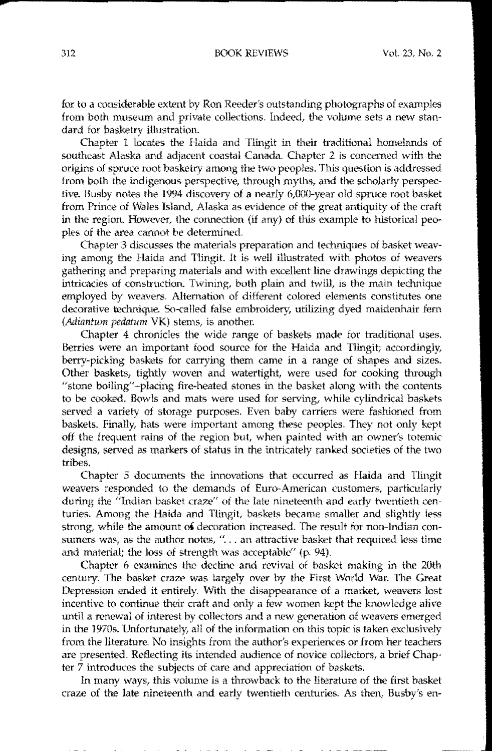for to a considerable extent by Ron Reeder's outstanding photographs of examples from both museum and private collections. Indeed, the volume sets a new standard for basketry illustration.

Chapter 1 locates the Haida and Tlingit in their traditional homelands of southeast Alaska and adjacent coastal Canada, Chapter 2 is concerned with the origins of spruce root basketry among the two peoples. This question is addressed from both the indigenous perspective, through myths, and the scholarly perspective. Busby notes the 1994 discovery of a nearly G,OOO-year old spruce root basket from Prince of Wales Island, Alaska as evidence of the great antiquity of the craft in the region. However, the connection (if any) of this example to historical peoples of the area cannot be determined,

Chapter 3 discusses the materials preparation and techniques of basket weaving among the Haida and Tlingit. It is well illustrated with photos of weavers gathering and preparing materials and with excellent line drawings depicting the intricacies of construction. Twining, both plain and twill, is the main technique employed by weavers. Alternation of different colored elements constitutes one decorative technique. So-called false embroidery, utilizing dyed maidenhair fern (Adiantum pedatum VK) stems, is another.

Chapter 4 chronicles the wide range of baskets made for traditional uses. Berries were an important food source for the Haida and Tlingit; accordingly, berry-picking baskets for carrying them came in a range of shapes and sizes. Other baskets, tightly woven and watertight, were used for cooking through "stone boiling"-placing fire-heated stones in the basket along with the contents to be cooked. Bowls and mats were used for serving, while cylindrical baskets served a variety of storage purposes. Even baby carriers were fashioned from baskets. Finally, hats were important among these peoples. They not only kept off the frequent rains of the region but, when painted with an owner's totemic designs, served as markers of status in the intricately ranked societies of the two tribes.

Chapter 5 documents the innovations that occurred as Haida and Tlingit weavers responded to the demands of Euro-American customers, particularly during the "Indian basket craze" of the late nineteenth and early twentieth centuries, Among the Haida and Tlingit, baskets became smaller and slightly less strong, while the amount of decoration increased. The result for non-Indian consumers was, as the author notes,  $\frac{1}{2}$ ... an attractive basket that required less time and material; the loss of strength was acceptable" (p. 94).

Chapter 6 examines the decline and revival of basket making in the 20th century. The basket craze was largely over by the First World War. The Great Depression ended it entirely. With the disappearance of a market, weavers lost incentive to continue their craft and only a few women kept the knowledge alive until a renewal of interest by collectors and a new generation of weavers emerged in the 1970s. Unfortunately, all of the information on this topic is taken exclusively from the literature. No insights from the author's experiences or from her teachers are presented. Reflecting its intended audience of novice collectors, a brief Chapter 7 introduces the subjects of care and appreciation of baskets.

In many ways, this volume is a throwback to the literature of the first basket craze of the late nineteenth and early twentieth centuries. As then, Busby's en-